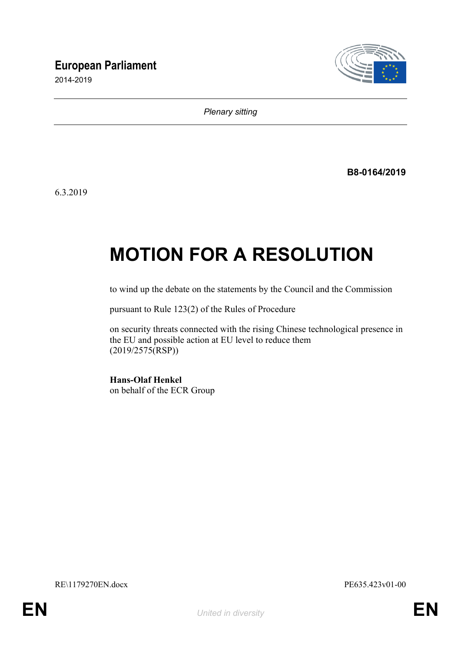# **European Parliament**

2014-2019



*Plenary sitting*

**B8-0164/2019**

6.3.2019

# **MOTION FOR A RESOLUTION**

to wind up the debate on the statements by the Council and the Commission

pursuant to Rule 123(2) of the Rules of Procedure

on security threats connected with the rising Chinese technological presence in the EU and possible action at EU level to reduce them (2019/2575(RSP))

**Hans-Olaf Henkel** on behalf of the ECR Group

RE\1179270EN.docx PE635.423v01-00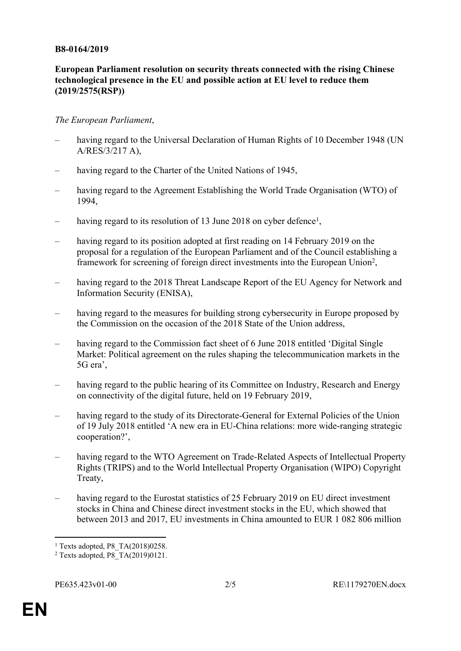#### **B8-0164/2019**

## **European Parliament resolution on security threats connected with the rising Chinese technological presence in the EU and possible action at EU level to reduce them (2019/2575(RSP))**

### *The European Parliament*,

- having regard to the Universal Declaration of Human Rights of 10 December 1948 (UN A/RES/3/217 A),
- having regard to the Charter of the United Nations of 1945,
- having regard to the Agreement Establishing the World Trade Organisation (WTO) of 1994,
- having regard to its resolution of 13 June 2018 on cyber defence<sup>1</sup>,
- having regard to its position adopted at first reading on 14 February 2019 on the proposal for a regulation of the European Parliament and of the Council establishing a framework for screening of foreign direct investments into the European Union<sup>2</sup>,
- having regard to the 2018 Threat Landscape Report of the EU Agency for Network and Information Security (ENISA),
- having regard to the measures for building strong cybersecurity in Europe proposed by the Commission on the occasion of the 2018 State of the Union address,
- having regard to the Commission fact sheet of 6 June 2018 entitled 'Digital Single Market: Political agreement on the rules shaping the telecommunication markets in the 5G era',
- having regard to the public hearing of its Committee on Industry, Research and Energy on connectivity of the digital future, held on 19 February 2019,
- having regard to the study of its Directorate-General for External Policies of the Union of 19 July 2018 entitled 'A new era in EU-China relations: more wide-ranging strategic cooperation?',
- having regard to the WTO Agreement on Trade-Related Aspects of Intellectual Property Rights (TRIPS) and to the World Intellectual Property Organisation (WIPO) Copyright Treaty,
- having regard to the Eurostat statistics of 25 February 2019 on EU direct investment stocks in China and Chinese direct investment stocks in the EU, which showed that between 2013 and 2017, EU investments in China amounted to EUR 1 082 806 million

<sup>1</sup> Texts adopted, P8\_TA(2018)0258.

<sup>2</sup> Texts adopted, P8\_TA(2019)0121.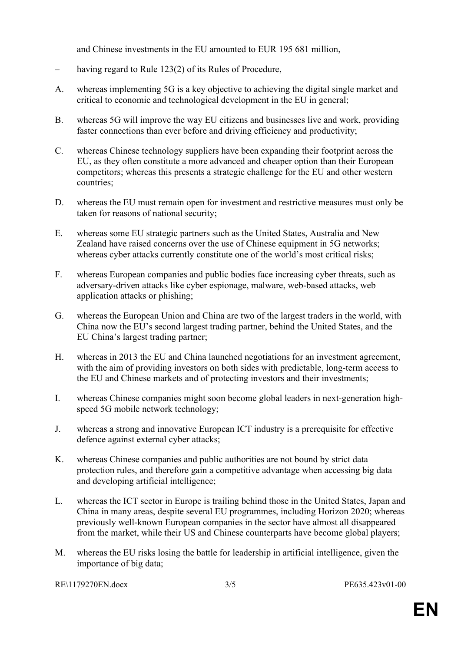and Chinese investments in the EU amounted to EUR 195 681 million,

- having regard to Rule 123(2) of its Rules of Procedure,
- A. whereas implementing 5G is a key objective to achieving the digital single market and critical to economic and technological development in the EU in general;
- B. whereas 5G will improve the way EU citizens and businesses live and work, providing faster connections than ever before and driving efficiency and productivity;
- C. whereas Chinese technology suppliers have been expanding their footprint across the EU, as they often constitute a more advanced and cheaper option than their European competitors; whereas this presents a strategic challenge for the EU and other western countries;
- D. whereas the EU must remain open for investment and restrictive measures must only be taken for reasons of national security;
- E. whereas some EU strategic partners such as the United States, Australia and New Zealand have raised concerns over the use of Chinese equipment in 5G networks; whereas cyber attacks currently constitute one of the world's most critical risks;
- F. whereas European companies and public bodies face increasing cyber threats, such as adversary-driven attacks like cyber espionage, malware, web-based attacks, web application attacks or phishing;
- G. whereas the European Union and China are two of the largest traders in the world, with China now the EU's second largest trading partner, behind the United States, and the EU China's largest trading partner;
- H. whereas in 2013 the EU and China launched negotiations for an investment agreement, with the aim of providing investors on both sides with predictable, long-term access to the EU and Chinese markets and of protecting investors and their investments;
- I. whereas Chinese companies might soon become global leaders in next-generation highspeed 5G mobile network technology;
- J. whereas a strong and innovative European ICT industry is a prerequisite for effective defence against external cyber attacks;
- K. whereas Chinese companies and public authorities are not bound by strict data protection rules, and therefore gain a competitive advantage when accessing big data and developing artificial intelligence;
- L. whereas the ICT sector in Europe is trailing behind those in the United States, Japan and China in many areas, despite several EU programmes, including Horizon 2020; whereas previously well-known European companies in the sector have almost all disappeared from the market, while their US and Chinese counterparts have become global players;
- M. whereas the EU risks losing the battle for leadership in artificial intelligence, given the importance of big data;

RE\1179270EN.docx 3/5 PE635.423v01-00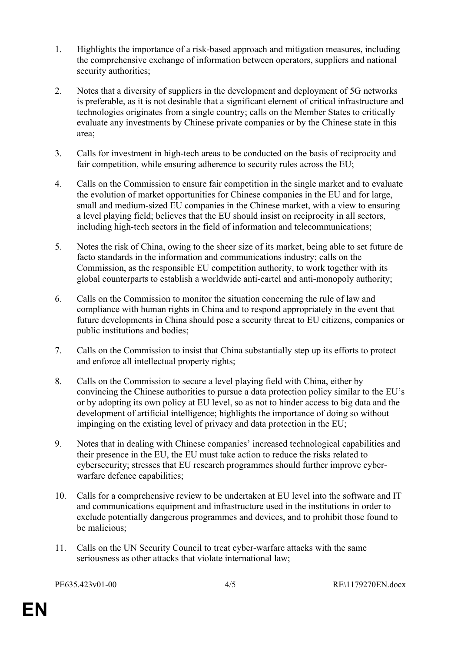- 1. Highlights the importance of a risk-based approach and mitigation measures, including the comprehensive exchange of information between operators, suppliers and national security authorities;
- 2. Notes that a diversity of suppliers in the development and deployment of 5G networks is preferable, as it is not desirable that a significant element of critical infrastructure and technologies originates from a single country; calls on the Member States to critically evaluate any investments by Chinese private companies or by the Chinese state in this area;
- 3. Calls for investment in high-tech areas to be conducted on the basis of reciprocity and fair competition, while ensuring adherence to security rules across the EU;
- 4. Calls on the Commission to ensure fair competition in the single market and to evaluate the evolution of market opportunities for Chinese companies in the EU and for large, small and medium-sized EU companies in the Chinese market, with a view to ensuring a level playing field; believes that the EU should insist on reciprocity in all sectors, including high-tech sectors in the field of information and telecommunications;
- 5. Notes the risk of China, owing to the sheer size of its market, being able to set future de facto standards in the information and communications industry; calls on the Commission, as the responsible EU competition authority, to work together with its global counterparts to establish a worldwide anti-cartel and anti-monopoly authority;
- 6. Calls on the Commission to monitor the situation concerning the rule of law and compliance with human rights in China and to respond appropriately in the event that future developments in China should pose a security threat to EU citizens, companies or public institutions and bodies;
- 7. Calls on the Commission to insist that China substantially step up its efforts to protect and enforce all intellectual property rights;
- 8. Calls on the Commission to secure a level playing field with China, either by convincing the Chinese authorities to pursue a data protection policy similar to the EU's or by adopting its own policy at EU level, so as not to hinder access to big data and the development of artificial intelligence; highlights the importance of doing so without impinging on the existing level of privacy and data protection in the EU;
- 9. Notes that in dealing with Chinese companies' increased technological capabilities and their presence in the EU, the EU must take action to reduce the risks related to cybersecurity; stresses that EU research programmes should further improve cyberwarfare defence capabilities;
- 10. Calls for a comprehensive review to be undertaken at EU level into the software and IT and communications equipment and infrastructure used in the institutions in order to exclude potentially dangerous programmes and devices, and to prohibit those found to be malicious;
- 11. Calls on the UN Security Council to treat cyber-warfare attacks with the same seriousness as other attacks that violate international law;